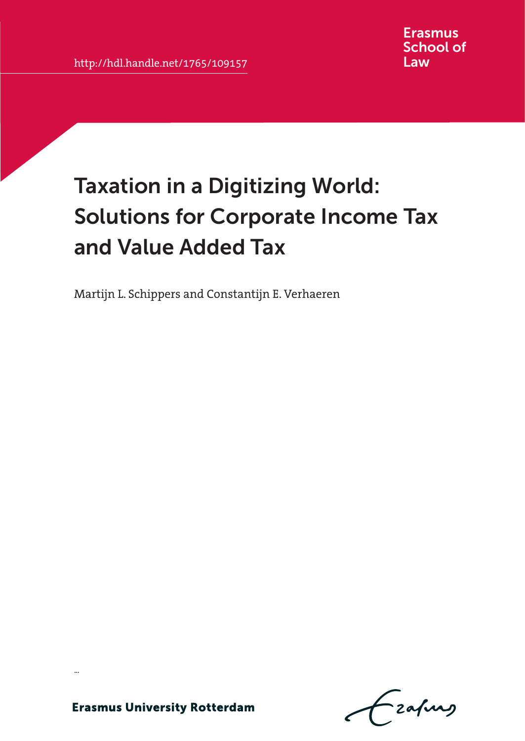# Taxation in a Digitizing World: Solutions for Corporate Income Tax and Value Added Tax

Martijn L. Schippers and Constantijn E. Verhaeren

·zafurs

**Erasmus University Rotterdam** 

...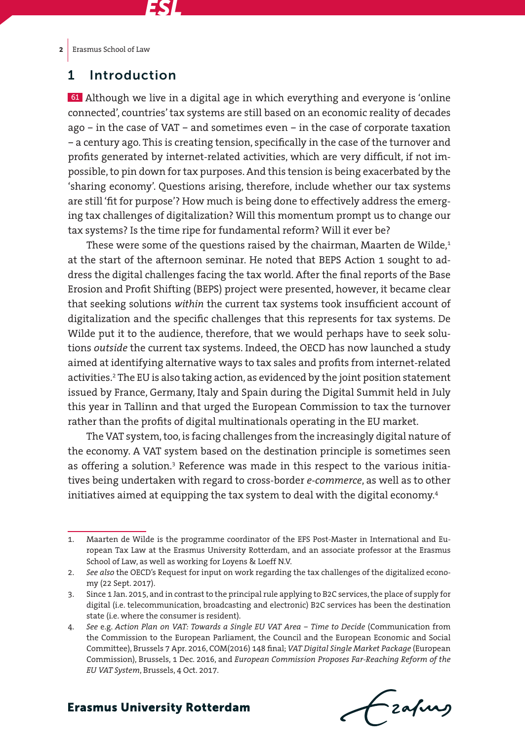**2** Erasmus School of Law

# 1 Introduction

*ESL*

61 Although we live in a digital age in which everything and everyone is 'online connected', countries' tax systems are still based on an economic reality of decades ago – in the case of VAT – and sometimes even – in the case of corporate taxation – a century ago. This is creating tension, specifically in the case of the turnover and profits generated by internet-related activities, which are very difficult, if not impossible, to pin down for tax purposes. And this tension is being exacerbated by the 'sharing economy'. Questions arising, therefore, include whether our tax systems are still 'fit for purpose'? How much is being done to effectively address the emerging tax challenges of digitalization? Will this momentum prompt us to change our tax systems? Is the time ripe for fundamental reform? Will it ever be?

These were some of the questions raised by the chairman, Maarten de Wilde,<sup>[1](#page-1-0)</sup> at the start of the afternoon seminar. He noted that BEPS Action 1 sought to address the digital challenges facing the tax world. After the final reports of the Base Erosion and Profit Shifting (BEPS) project were presented, however, it became clear that seeking solutions *within* the current tax systems took insufficient account of digitalization and the specific challenges that this represents for tax systems. De Wilde put it to the audience, therefore, that we would perhaps have to seek solutions *outside* the current tax systems. Indeed, the OECD has now launched a study aimed at identifying alternative ways to tax sales and profits from internet-related activities[.2](#page-1-1) The EU is also taking action, as evidenced by the joint position statement issued by France, Germany, Italy and Spain during the Digital Summit held in July this year in Tallinn and that urged the European Commission to tax the turnover rather than the profits of digital multinationals operating in the EU market.

The VAT system, too, is facing challenges from the increasingly digital nature of the economy. A VAT system based on the destination principle is sometimes seen as offering a solution. $3$  Reference was made in this respect to the various initiatives being undertaken with regard to cross-border *e-commerce*, as well as to other initiatives aimed at equipping the tax system to deal with the digital economy.<sup>4</sup>

Frafing

<span id="page-1-0"></span><sup>1.</sup> Maarten de Wilde is the programme coordinator of the EFS Post-Master in International and European Tax Law at the Erasmus University Rotterdam, and an associate professor at the Erasmus School of Law, as well as working for Loyens & Loeff N.V.

<span id="page-1-1"></span><sup>2.</sup> *See also* the OECD's Request for input on work regarding the tax challenges of the digitalized economy (22 Sept. 2017).

<span id="page-1-2"></span><sup>3.</sup> Since 1 Jan. 2015, and in contrast to the principal rule applying to B2C services, the place of supply for digital (i.e. telecommunication, broadcasting and electronic) B2C services has been the destination state (i.e. where the consumer is resident).

<span id="page-1-3"></span><sup>4.</sup> *See* e.g. *Action Plan on VAT: Towards a Single EU VAT Area – Time to Decide* (Communication from the Commission to the European Parliament, the Council and the European Economic and Social Committee), Brussels 7 Apr. 2016, COM(2016) 148 final; *VAT Digital Single Market Package* (European Commission), Brussels, 1 Dec. 2016, and *European Commission Proposes Far-Reaching Reform of the EU VAT System*, Brussels, 4 Oct. 2017.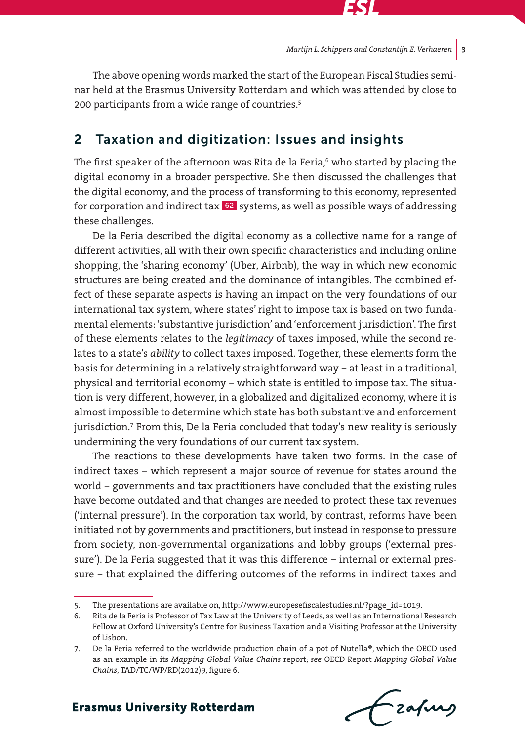The above opening words marked the start of the European Fiscal Studies seminar held at the Erasmus University Rotterdam and which was attended by close to 200 participants from a wide range of countries.<sup>[5](#page-2-0)</sup>

## 2 Taxation and digitization: Issues and insights

The first speaker of the afternoon was Rita de la Feria, $^{\rm 6}$  $^{\rm 6}$  $^{\rm 6}$  who started by placing the digital economy in a broader perspective. She then discussed the challenges that the digital economy, and the process of transforming to this economy, represented for corporation and indirect tax  $62$  systems, as well as possible ways of addressing these challenges.

De la Feria described the digital economy as a collective name for a range of different activities, all with their own specific characteristics and including online shopping, the 'sharing economy' (Uber, Airbnb), the way in which new economic structures are being created and the dominance of intangibles. The combined effect of these separate aspects is having an impact on the very foundations of our international tax system, where states' right to impose tax is based on two fundamental elements: 'substantive jurisdiction' and 'enforcement jurisdiction'. The first of these elements relates to the *legitimacy* of taxes imposed, while the second relates to a state's *ability* to collect taxes imposed. Together, these elements form the basis for determining in a relatively straightforward way – at least in a traditional, physical and territorial economy – which state is entitled to impose tax. The situation is very different, however, in a globalized and digitalized economy, where it is almost impossible to determine which state has both substantive and enforcement jurisdiction.[7](#page-2-2) From this, De la Feria concluded that today's new reality is seriously undermining the very foundations of our current tax system.

The reactions to these developments have taken two forms. In the case of indirect taxes – which represent a major source of revenue for states around the world – governments and tax practitioners have concluded that the existing rules have become outdated and that changes are needed to protect these tax revenues ('internal pressure'). In the corporation tax world, by contrast, reforms have been initiated not by governments and practitioners, but instead in response to pressure from society, non-governmental organizations and lobby groups ('external pressure'). De la Feria suggested that it was this difference – internal or external pressure – that explained the differing outcomes of the reforms in indirect taxes and

# Frafing

<span id="page-2-0"></span><sup>5.</sup> The presentations are available on, [http://www.europesefiscalestudies.nl/?page\\_id=1019](https://www.europesefiscalestudies.nl/?page_id=1019).

<span id="page-2-1"></span><sup>6.</sup> Rita de la Feria is Professor of Tax Law at the University of Leeds, as well as an International Research Fellow at Oxford University's Centre for Business Taxation and a Visiting Professor at the University of Lisbon.

<span id="page-2-2"></span><sup>7.</sup> De la Feria referred to the worldwide production chain of a pot of Nutella®, which the OECD used as an example in its *Mapping Global Value Chains* report; *see* OECD Report *Mapping Global Value Chains*, TAD/TC/WP/RD(2012)9, figure 6.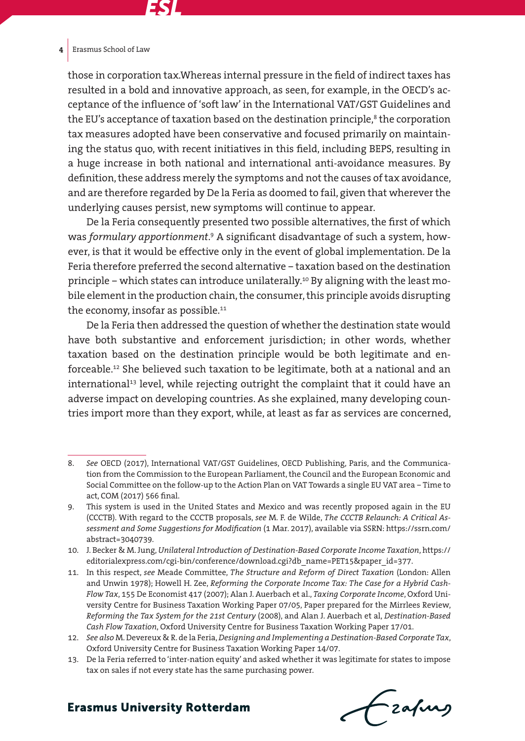**4** Erasmus School of Law

those in corporation tax.Whereas internal pressure in the field of indirect taxes has resulted in a bold and innovative approach, as seen, for example, in the OECD's acceptance of the influence of 'soft law' in the International VAT/GST Guidelines and the EU's acceptance of taxation based on the destination principle, $^{\text{s}}$  the corporation tax measures adopted have been conservative and focused primarily on maintaining the status quo, with recent initiatives in this field, including BEPS, resulting in a huge increase in both national and international anti-avoidance measures. By definition, these address merely the symptoms and not the causes of tax avoidance, and are therefore regarded by De la Feria as doomed to fail, given that wherever the underlying causes persist, new symptoms will continue to appear.

De la Feria consequently presented two possible alternatives, the first of which was *formulary apportionment.*' A significant disadvantage of such a system, however, is that it would be effective only in the event of global implementation. De la Feria therefore preferred the second alternative – taxation based on the destination principle – which states can introduce unilaterally.<sup>10</sup> By aligning with the least mobile element in the production chain, the consumer, this principle avoids disrupting the economy, insofar as possible.<sup>11</sup>

De la Feria then addressed the question of whether the destination state would have both substantive and enforcement jurisdiction; in other words, whether taxation based on the destination principle would be both legitimate and enforceable.[12](#page-3-4) She believed such taxation to be legitimate, both at a national and an  $international<sup>13</sup>$  level, while rejecting outright the complaint that it could have an adverse impact on developing countries. As she explained, many developing countries import more than they export, while, at least as far as services are concerned,

fzafing

<span id="page-3-0"></span><sup>8.</sup> *See* OECD (2017), International VAT/GST Guidelines, OECD Publishing, Paris, and the Communication from the Commission to the European Parliament, the Council and the European Economic and Social Committee on the follow-up to the Action Plan on VAT Towards a single EU VAT area – Time to act, COM (2017) 566 final.

<span id="page-3-1"></span><sup>9.</sup> This system is used in the United States and Mexico and was recently proposed again in the EU (CCCTB). With regard to the CCCTB proposals, *see* M. F. de Wilde, *The CCCTB Relaunch: A Critical Assessment and Some Suggestions for Modification* (1 Mar. 2017), available via SSRN: [https://ssrn.com/](https://ssrn.com/abstract=3040739) [abstract=3040739.](https://ssrn.com/abstract=3040739)

<span id="page-3-2"></span><sup>10.</sup> J. Becker & M. Jung, *Unilateral Introduction of Destination-Based Corporate Income Taxation*, [https://](https://editorialexpress.com/cgi-bin/conference/download.cgi?db_name=PET15&paper_id=377) [editorialexpress.com/cgi-bin/conference/download.cgi?db\\_name=PET15&paper\\_id=377.](https://editorialexpress.com/cgi-bin/conference/download.cgi?db_name=PET15&paper_id=377)

<span id="page-3-3"></span><sup>11.</sup> In this respect, *see* Meade Committee, *The Structure and Reform of Direct Taxation* (London: Allen and Unwin 1978); Howell H. Zee, *Reforming the Corporate Income Tax: The Case for a Hybrid Cash-Flow Tax*, 155 De Economist 417 (2007); Alan J. Auerbach et al., *Taxing Corporate Income*, Oxford University Centre for Business Taxation Working Paper 07/05, Paper prepared for the Mirrlees Review, *Reforming the Tax System for the 21st Century* (2008), and Alan J. Auerbach et al, *Destination-Based Cash Flow Taxation*, Oxford University Centre for Business Taxation Working Paper 17/01.

<span id="page-3-4"></span><sup>12.</sup> *See also* M. Devereux & R. de la Feria, *Designing and Implementing a Destination-Based Corporate Tax*, Oxford University Centre for Business Taxation Working Paper 14/07.

<span id="page-3-5"></span><sup>13.</sup> De la Feria referred to 'inter-nation equity' and asked whether it was legitimate for states to impose tax on sales if not every state has the same purchasing power.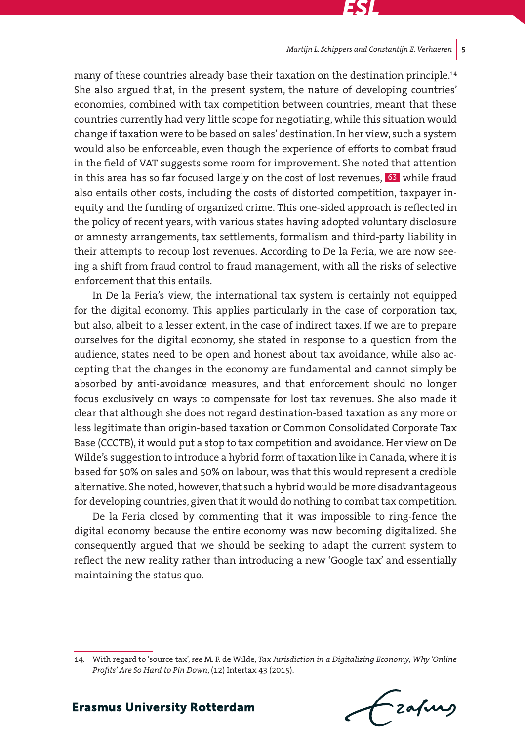many of these countries already base their taxation on the destination principle[.14](#page-4-0) She also argued that, in the present system, the nature of developing countries' economies, combined with tax competition between countries, meant that these countries currently had very little scope for negotiating, while this situation would change if taxation were to be based on sales' destination. In her view, such a system would also be enforceable, even though the experience of efforts to combat fraud in the field of VAT suggests some room for improvement. She noted that attention in this area has so far focused largely on the cost of lost revenues, 63 while fraud also entails other costs, including the costs of distorted competition, taxpayer inequity and the funding of organized crime. This one-sided approach is reflected in the policy of recent years, with various states having adopted voluntary disclosure or amnesty arrangements, tax settlements, formalism and third-party liability in their attempts to recoup lost revenues. According to De la Feria, we are now seeing a shift from fraud control to fraud management, with all the risks of selective enforcement that this entails.

In De la Feria's view, the international tax system is certainly not equipped for the digital economy. This applies particularly in the case of corporation tax, but also, albeit to a lesser extent, in the case of indirect taxes. If we are to prepare ourselves for the digital economy, she stated in response to a question from the audience, states need to be open and honest about tax avoidance, while also accepting that the changes in the economy are fundamental and cannot simply be absorbed by anti-avoidance measures, and that enforcement should no longer focus exclusively on ways to compensate for lost tax revenues. She also made it clear that although she does not regard destination-based taxation as any more or less legitimate than origin-based taxation or Common Consolidated Corporate Tax Base (CCCTB), it would put a stop to tax competition and avoidance. Her view on De Wilde's suggestion to introduce a hybrid form of taxation like in Canada, where it is based for 50% on sales and 50% on labour, was that this would represent a credible alternative. She noted, however, that such a hybrid would be more disadvantageous for developing countries, given that it would do nothing to combat tax competition.

De la Feria closed by commenting that it was impossible to ring-fence the digital economy because the entire economy was now becoming digitalized. She consequently argued that we should be seeking to adapt the current system to reflect the new reality rather than introducing a new 'Google tax' and essentially maintaining the status quo.

<span id="page-4-0"></span><sup>14.</sup> With regard to 'source tax', *see* M. F. de Wilde, *Tax Jurisdiction in a Digitalizing Economy; Why 'Online Profits' Are So Hard to Pin Down*, (12) Intertax 43 (2015).

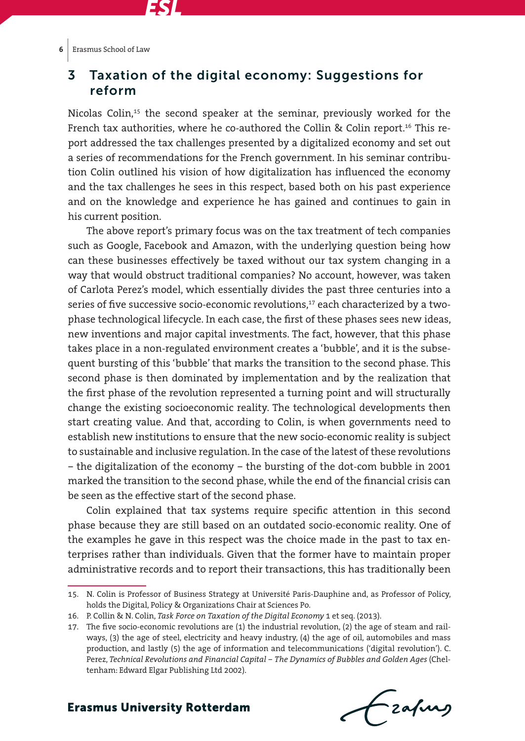**6** Erasmus School of Law

*ESL*

# 3 Taxation of the digital economy: Suggestions for reform

Nicolas Colin, $15$  the second speaker at the seminar, previously worked for the French tax authorities, where he co-authored the Collin & Colin report.[16](#page-5-1) This report addressed the tax challenges presented by a digitalized economy and set out a series of recommendations for the French government. In his seminar contribution Colin outlined his vision of how digitalization has influenced the economy and the tax challenges he sees in this respect, based both on his past experience and on the knowledge and experience he has gained and continues to gain in his current position.

The above report's primary focus was on the tax treatment of tech companies such as Google, Facebook and Amazon, with the underlying question being how can these businesses effectively be taxed without our tax system changing in a way that would obstruct traditional companies? No account, however, was taken of Carlota Perez's model, which essentially divides the past three centuries into a series of five successive socio-economic revolutions,<sup>[17](#page-5-2)</sup> each characterized by a twophase technological lifecycle. In each case, the first of these phases sees new ideas, new inventions and major capital investments. The fact, however, that this phase takes place in a non-regulated environment creates a 'bubble', and it is the subsequent bursting of this 'bubble' that marks the transition to the second phase. This second phase is then dominated by implementation and by the realization that the first phase of the revolution represented a turning point and will structurally change the existing socioeconomic reality. The technological developments then start creating value. And that, according to Colin, is when governments need to establish new institutions to ensure that the new socio-economic reality is subject to sustainable and inclusive regulation. In the case of the latest of these revolutions – the digitalization of the economy – the bursting of the dot-com bubble in 2001 marked the transition to the second phase, while the end of the financial crisis can be seen as the effective start of the second phase.

Colin explained that tax systems require specific attention in this second phase because they are still based on an outdated socio-economic reality. One of the examples he gave in this respect was the choice made in the past to tax enterprises rather than individuals. Given that the former have to maintain proper administrative records and to report their transactions, this has traditionally been

Frahing

<span id="page-5-0"></span><sup>15.</sup> N. Colin is Professor of Business Strategy at Université Paris-Dauphine and, as Professor of Policy, holds the Digital, Policy & Organizations Chair at Sciences Po.

<span id="page-5-1"></span><sup>16.</sup> P. Collin & N. Colin, *Task Force on Taxation of the Digital Economy* 1 et seq. (2013).

<span id="page-5-2"></span><sup>17.</sup> The five socio-economic revolutions are (1) the industrial revolution, (2) the age of steam and railways, (3) the age of steel, electricity and heavy industry, (4) the age of oil, automobiles and mass production, and lastly (5) the age of information and telecommunications ('digital revolution'). C. Perez, *Technical Revolutions and Financial Capital – The Dynamics of Bubbles and Golden Ages* (Cheltenham: Edward Elgar Publishing Ltd 2002).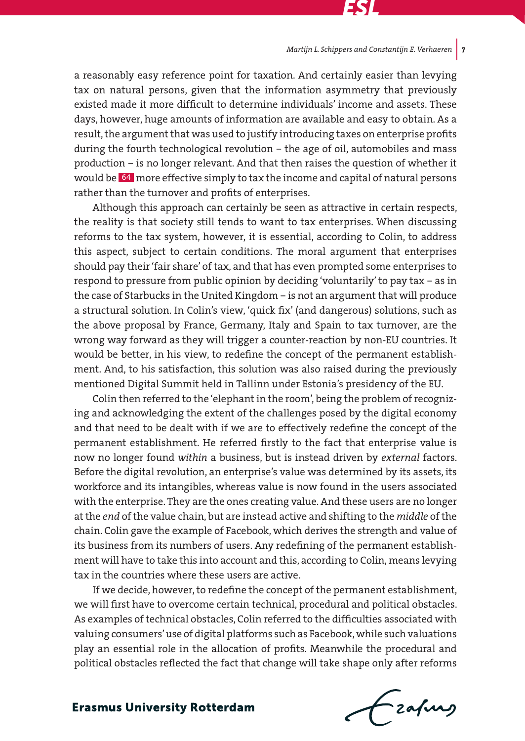a reasonably easy reference point for taxation. And certainly easier than levying tax on natural persons, given that the information asymmetry that previously existed made it more difficult to determine individuals' income and assets. These days, however, huge amounts of information are available and easy to obtain. As a result, the argument that was used to justify introducing taxes on enterprise profits during the fourth technological revolution – the age of oil, automobiles and mass production – is no longer relevant. And that then raises the question of whether it would be 64 more effective simply to tax the income and capital of natural persons rather than the turnover and profits of enterprises.

Although this approach can certainly be seen as attractive in certain respects, the reality is that society still tends to want to tax enterprises. When discussing reforms to the tax system, however, it is essential, according to Colin, to address this aspect, subject to certain conditions. The moral argument that enterprises should pay their 'fair share' of tax, and that has even prompted some enterprises to respond to pressure from public opinion by deciding 'voluntarily' to pay tax – as in the case of Starbucks in the United Kingdom – is not an argument that will produce a structural solution. In Colin's view, 'quick fix' (and dangerous) solutions, such as the above proposal by France, Germany, Italy and Spain to tax turnover, are the wrong way forward as they will trigger a counter-reaction by non-EU countries. It would be better, in his view, to redefine the concept of the permanent establishment. And, to his satisfaction, this solution was also raised during the previously mentioned Digital Summit held in Tallinn under Estonia's presidency of the EU.

Colin then referred to the 'elephant in the room', being the problem of recognizing and acknowledging the extent of the challenges posed by the digital economy and that need to be dealt with if we are to effectively redefine the concept of the permanent establishment. He referred firstly to the fact that enterprise value is now no longer found *within* a business, but is instead driven by *external* factors. Before the digital revolution, an enterprise's value was determined by its assets, its workforce and its intangibles, whereas value is now found in the users associated with the enterprise. They are the ones creating value. And these users are no longer at the *end* of the value chain, but are instead active and shifting to the *middle* of the chain. Colin gave the example of Facebook, which derives the strength and value of its business from its numbers of users. Any redefining of the permanent establishment will have to take this into account and this, according to Colin, means levying tax in the countries where these users are active.

If we decide, however, to redefine the concept of the permanent establishment, we will first have to overcome certain technical, procedural and political obstacles. As examples of technical obstacles, Colin referred to the difficulties associated with valuing consumers' use of digital platforms such as Facebook, while such valuations play an essential role in the allocation of profits. Meanwhile the procedural and political obstacles reflected the fact that change will take shape only after reforms

fzafing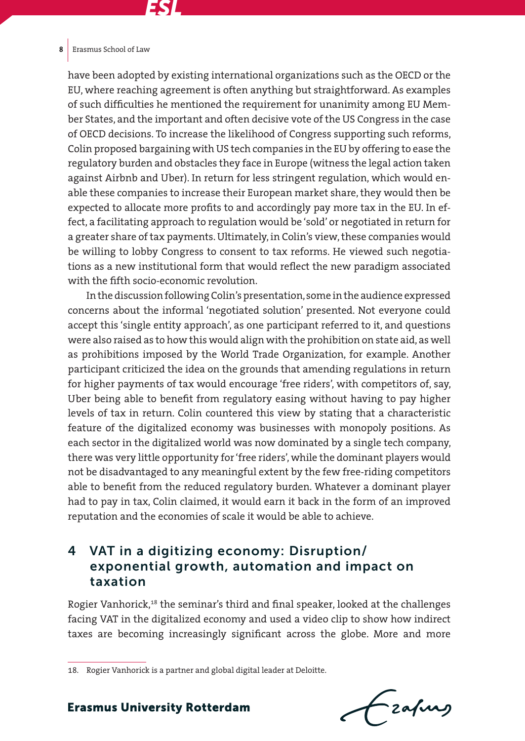**8** Erasmus School of Law

have been adopted by existing international organizations such as the OECD or the EU, where reaching agreement is often anything but straightforward. As examples of such difficulties he mentioned the requirement for unanimity among EU Member States, and the important and often decisive vote of the US Congress in the case of OECD decisions. To increase the likelihood of Congress supporting such reforms, Colin proposed bargaining with US tech companies in the EU by offering to ease the regulatory burden and obstacles they face in Europe (witness the legal action taken against Airbnb and Uber). In return for less stringent regulation, which would enable these companies to increase their European market share, they would then be expected to allocate more profits to and accordingly pay more tax in the EU. In effect, a facilitating approach to regulation would be 'sold' or negotiated in return for a greater share of tax payments. Ultimately, in Colin's view, these companies would be willing to lobby Congress to consent to tax reforms. He viewed such negotiations as a new institutional form that would reflect the new paradigm associated with the fifth socio-economic revolution.

In the discussion following Colin's presentation, some in the audience expressed concerns about the informal 'negotiated solution' presented. Not everyone could accept this 'single entity approach', as one participant referred to it, and questions were also raised as to how this would align with the prohibition on state aid, as well as prohibitions imposed by the World Trade Organization, for example. Another participant criticized the idea on the grounds that amending regulations in return for higher payments of tax would encourage 'free riders', with competitors of, say, Uber being able to benefit from regulatory easing without having to pay higher levels of tax in return. Colin countered this view by stating that a characteristic feature of the digitalized economy was businesses with monopoly positions. As each sector in the digitalized world was now dominated by a single tech company, there was very little opportunity for 'free riders', while the dominant players would not be disadvantaged to any meaningful extent by the few free-riding competitors able to benefit from the reduced regulatory burden. Whatever a dominant player had to pay in tax, Colin claimed, it would earn it back in the form of an improved reputation and the economies of scale it would be able to achieve.

# 4 VAT in a digitizing economy: Disruption/ exponential growth, automation and impact on taxation

Rogier Vanhorick,[18](#page-7-0) the seminar's third and final speaker, looked at the challenges facing VAT in the digitalized economy and used a video clip to show how indirect taxes are becoming increasingly significant across the globe. More and more

-zafurs

<span id="page-7-0"></span><sup>18.</sup> Rogier Vanhorick is a partner and global digital leader at Deloitte.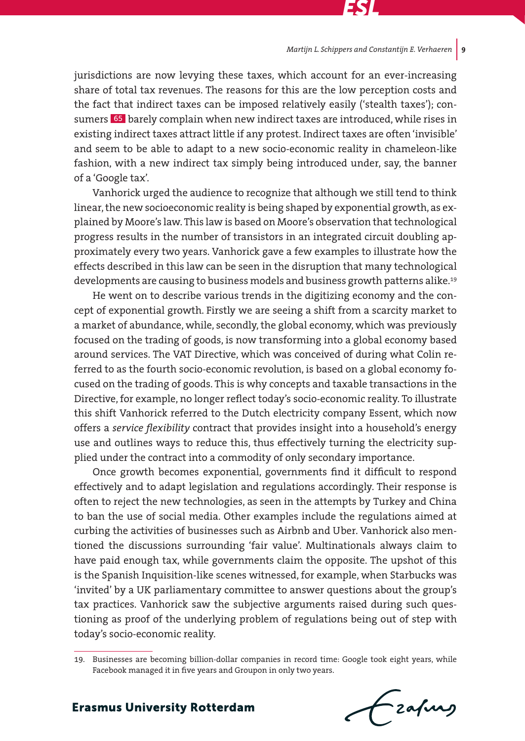jurisdictions are now levying these taxes, which account for an ever-increasing share of total tax revenues. The reasons for this are the low perception costs and the fact that indirect taxes can be imposed relatively easily ('stealth taxes'); consumers 65 barely complain when new indirect taxes are introduced, while rises in existing indirect taxes attract little if any protest. Indirect taxes are often 'invisible' and seem to be able to adapt to a new socio-economic reality in chameleon-like fashion, with a new indirect tax simply being introduced under, say, the banner of a 'Google tax'.

Vanhorick urged the audience to recognize that although we still tend to think linear, the new socioeconomic reality is being shaped by exponential growth, as explained by Moore's law. This law is based on Moore's observation that technological progress results in the number of transistors in an integrated circuit doubling approximately every two years. Vanhorick gave a few examples to illustrate how the effects described in this law can be seen in the disruption that many technological developments are causing to business models and business growth patterns alike.<sup>19</sup>

He went on to describe various trends in the digitizing economy and the concept of exponential growth. Firstly we are seeing a shift from a scarcity market to a market of abundance, while, secondly, the global economy, which was previously focused on the trading of goods, is now transforming into a global economy based around services. The VAT Directive, which was conceived of during what Colin referred to as the fourth socio-economic revolution, is based on a global economy focused on the trading of goods. This is why concepts and taxable transactions in the Directive, for example, no longer reflect today's socio-economic reality. To illustrate this shift Vanhorick referred to the Dutch electricity company Essent, which now offers a *service flexibility* contract that provides insight into a household's energy use and outlines ways to reduce this, thus effectively turning the electricity supplied under the contract into a commodity of only secondary importance.

Once growth becomes exponential, governments find it difficult to respond effectively and to adapt legislation and regulations accordingly. Their response is often to reject the new technologies, as seen in the attempts by Turkey and China to ban the use of social media. Other examples include the regulations aimed at curbing the activities of businesses such as Airbnb and Uber. Vanhorick also mentioned the discussions surrounding 'fair value'. Multinationals always claim to have paid enough tax, while governments claim the opposite. The upshot of this is the Spanish Inquisition-like scenes witnessed, for example, when Starbucks was 'invited' by a UK parliamentary committee to answer questions about the group's tax practices. Vanhorick saw the subjective arguments raised during such questioning as proof of the underlying problem of regulations being out of step with today's socio-economic reality.

<span id="page-8-0"></span><sup>19.</sup> Businesses are becoming billion-dollar companies in record time: Google took eight years, while Facebook managed it in five years and Groupon in only two years.

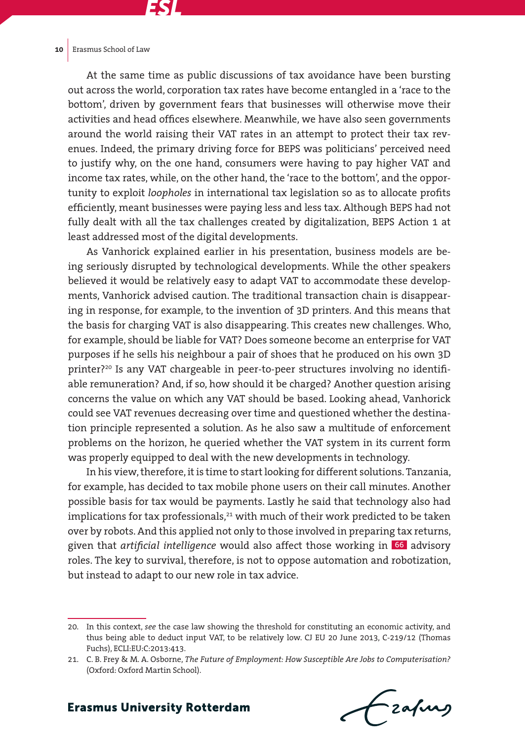#### **10** Erasmus School of Law

*ESL*

At the same time as public discussions of tax avoidance have been bursting out across the world, corporation tax rates have become entangled in a 'race to the bottom', driven by government fears that businesses will otherwise move their activities and head offices elsewhere. Meanwhile, we have also seen governments around the world raising their VAT rates in an attempt to protect their tax revenues. Indeed, the primary driving force for BEPS was politicians' perceived need to justify why, on the one hand, consumers were having to pay higher VAT and income tax rates, while, on the other hand, the 'race to the bottom', and the opportunity to exploit *loopholes* in international tax legislation so as to allocate profits efficiently, meant businesses were paying less and less tax. Although BEPS had not fully dealt with all the tax challenges created by digitalization, BEPS Action 1 at least addressed most of the digital developments.

As Vanhorick explained earlier in his presentation, business models are being seriously disrupted by technological developments. While the other speakers believed it would be relatively easy to adapt VAT to accommodate these developments, Vanhorick advised caution. The traditional transaction chain is disappearing in response, for example, to the invention of 3D printers. And this means that the basis for charging VAT is also disappearing. This creates new challenges. Who, for example, should be liable for VAT? Does someone become an enterprise for VAT purposes if he sells his neighbour a pair of shoes that he produced on his own 3D printer?<sup>[20](#page-9-0)</sup> Is any VAT chargeable in peer-to-peer structures involving no identifiable remuneration? And, if so, how should it be charged? Another question arising concerns the value on which any VAT should be based. Looking ahead, Vanhorick could see VAT revenues decreasing over time and questioned whether the destination principle represented a solution. As he also saw a multitude of enforcement problems on the horizon, he queried whether the VAT system in its current form was properly equipped to deal with the new developments in technology.

In his view, therefore, it is time to start looking for different solutions. Tanzania, for example, has decided to tax mobile phone users on their call minutes. Another possible basis for tax would be payments. Lastly he said that technology also had implications for tax professionals, $21$  with much of their work predicted to be taken over by robots. And this applied not only to those involved in preparing tax returns, given that *artificial intelligence* would also affect those working in 66 advisory roles. The key to survival, therefore, is not to oppose automation and robotization, but instead to adapt to our new role in tax advice.

Frafing

<span id="page-9-0"></span><sup>20.</sup> In this context, *see* the case law showing the threshold for constituting an economic activity, and thus being able to deduct input VAT, to be relatively low. CJ EU 20 June 2013, C-219/12 (Thomas Fuchs), ECLI:EU:C:2013:413.

<span id="page-9-1"></span><sup>21.</sup> C. B. Frey & M. A. Osborne, *The Future of Employment: How Susceptible Are Jobs to Computerisation?* (Oxford: Oxford Martin School).